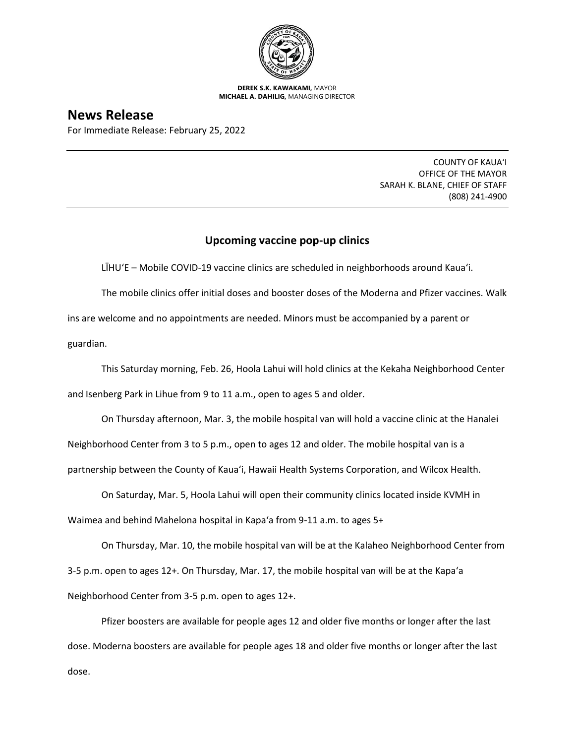

**DEREK S.K. KAWAKAMI,** MAYOR **MICHAEL A. DAHILIG,** MANAGING DIRECTOR

## **News Release**

For Immediate Release: February 25, 2022

COUNTY OF KAUA'I OFFICE OF THE MAYOR SARAH K. BLANE, CHIEF OF STAFF (808) 241-4900

## **Upcoming vaccine pop-up clinics**

LĪHUʻE – Mobile COVID-19 vaccine clinics are scheduled in neighborhoods around Kaua'i.

The mobile clinics offer initial doses and booster doses of the Moderna and Pfizer vaccines. Walk ins are welcome and no appointments are needed. Minors must be accompanied by a parent or guardian.

This Saturday morning, Feb. 26, Hoola Lahui will hold clinics at the Kekaha Neighborhood Center and Isenberg Park in Lihue from 9 to 11 a.m., open to ages 5 and older.

On Thursday afternoon, Mar. 3, the mobile hospital van will hold a vaccine clinic at the Hanalei

Neighborhood Center from 3 to 5 p.m., open to ages 12 and older. The mobile hospital van is a

partnership between the County of Kaua'i, Hawaii Health Systems Corporation, and Wilcox Health.

On Saturday, Mar. 5, Hoola Lahui will open their community clinics located inside KVMH in Waimea and behind Mahelona hospital in Kapa'a from 9-11 a.m. to ages 5+

On Thursday, Mar. 10, the mobile hospital van will be at the Kalaheo Neighborhood Center from 3-5 p.m. open to ages 12+. On Thursday, Mar. 17, the mobile hospital van will be at the Kapa'a Neighborhood Center from 3-5 p.m. open to ages 12+.

Pfizer boosters are available for people ages 12 and older five months or longer after the last dose. Moderna boosters are available for people ages 18 and older five months or longer after the last dose.